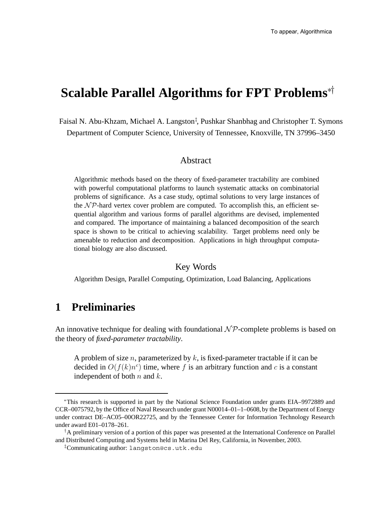# **Scalable Parallel Algorithms for FPT Problems**∗†

Faisal N. Abu-Khzam, Michael A. Langston‡ , Pushkar Shanbhag and Christopher T. Symons Department of Computer Science, University of Tennessee, Knoxville, TN 37996–3450

#### Abstract

Algorithmic methods based on the theory of fixed-parameter tractability are combined with powerful computational platforms to launch systematic attacks on combinatorial problems of significance. As a case study, optimal solutions to very large instances of the  $N \mathcal{P}$ -hard vertex cover problem are computed. To accomplish this, an efficient sequential algorithm and various forms of parallel algorithms are devised, implemented and compared. The importance of maintaining a balanced decomposition of the search space is shown to be critical to achieving scalability. Target problems need only be amenable to reduction and decomposition. Applications in high throughput computational biology are also discussed.

#### Key Words

Algorithm Design, Parallel Computing, Optimization, Load Balancing, Applications

# **1 Preliminaries**

An innovative technique for dealing with foundational  $\mathcal{NP}$ -complete problems is based on the theory of *fixed-parameter tractability*.

A problem of size *n*, parameterized by *k*, is fixed-parameter tractable if it can be decided in  $O(f(k)n^c)$  time, where *f* is an arbitrary function and *c* is a constant independent of both *n* and *k* independent of both *n* and *k*.

<sup>∗</sup>This research is supported in part by the National Science Foundation under grants EIA–9972889 and CCR–0075792, by the Office of Naval Research under grant N00014–01–1–0608, by the Department of Energy under contract DE–AC05–00OR22725, and by the Tennessee Center for Information Technology Research under award E01–0178–261.

<sup>†</sup>A preliminary version of a portion of this paper was presented at the International Conference on Parallel and Distributed Computing and Systems held in Marina Del Rey, California, in November, 2003.

<sup>‡</sup>Communicating author: langston@cs.utk.edu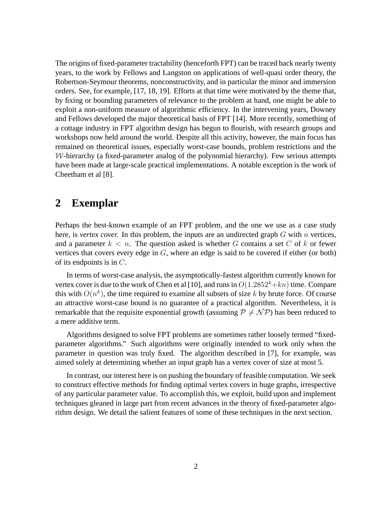The origins of fixed-parameter tractability (henceforth FPT) can be traced back nearly twenty years, to the work by Fellows and Langston on applications of well-quasi order theory, the Robertson-Seymour theorems, nonconstructivity, and in particular the minor and immersion orders. See, for example, [17, 18, 19]. Efforts at that time were motivated by the theme that, by fixing or bounding parameters of relevance to the problem at hand, one might be able to exploit a non-uniform measure of algorithmic efficiency. In the intervening years, Downey and Fellows developed the major theoretical basis of FPT [14]. More recently, something of a cottage industry in FPT algorithm design has begun to flourish, with research groups and workshops now held around the world. Despite all this activity, however, the main focus has remained on theoretical issues, especially worst-case bounds, problem restrictions and the W-hierarchy (a fixed-parameter analog of the polynomial hierarchy). Few serious attempts have been made at large-scale practical implementations. A notable exception is the work of Cheetham et al [8].

#### **2 Exemplar**

Perhaps the best-known example of an FPT problem, and the one we use as a case study here, is *vertex cover.* In this problem, the inputs are an undirected graph *G* with *n* vertices, and a parameter  $k < n$ . The question asked is whether *G* contains a set *C* of *k* or fewer vertices that covers every edge in *G*, where an edge is said to be covered if either (or both) of its endpoints is in *C*.

In terms of worst-case analysis, the asymptotically-fastest algorithm currently known for vertex cover is due to the work of Chen et al [10], and runs in  $O(1.2852^{k}+kn)$  time. Compare this with  $O(n^k)$ , the time required to examine all subsets of size k by brute force. Of course an attractive worst-case bound is no guarantee of a practical algorithm. Nevertheless, it is remarkable that the requisite exponential growth (assuming  $P \neq \mathcal{NP}$ ) has been reduced to a mere additive term a mere additive term.

Algorithms designed to solve FPT problems are sometimes rather loosely termed "fixedparameter algorithms." Such algorithms were originally intended to work only when the parameter in question was truly fixed. The algorithm described in [7], for example, was aimed solely at determining whether an input graph has a vertex cover of size at most 5.

In contrast, our interest here is on pushing the boundary of feasible computation. We seek to construct effective methods for finding optimal vertex covers in huge graphs, irrespective of any particular parameter value. To accomplish this, we exploit, build upon and implement techniques gleaned in large part from recent advances in the theory of fixed-parameter algorithm design. We detail the salient features of some of these techniques in the next section.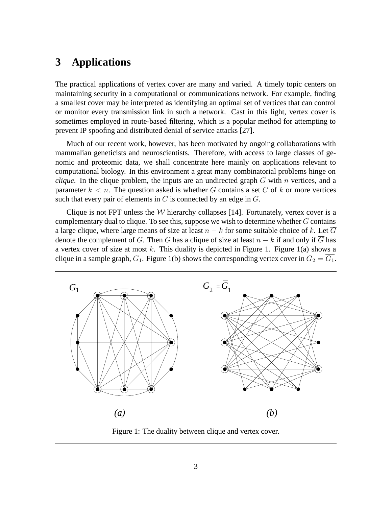# **3 Applications**

The practical applications of vertex cover are many and varied. A timely topic centers on maintaining security in a computational or communications network. For example, finding a smallest cover may be interpreted as identifying an optimal set of vertices that can control or monitor every transmission link in such a network. Cast in this light, vertex cover is sometimes employed in route-based filtering, which is a popular method for attempting to prevent IP spoofing and distributed denial of service attacks [27].

Much of our recent work, however, has been motivated by ongoing collaborations with mammalian geneticists and neuroscientists. Therefore, with access to large classes of genomic and proteomic data, we shall concentrate here mainly on applications relevant to computational biology. In this environment a great many combinatorial problems hinge on *clique*. In the clique problem, the inputs are an undirected graph  $G$  with  $n$  vertices, and a parameter  $k < n$ . The question asked is whether *G* contains a set *C* of *k* or more vertices such that every pair of elements in *C* is connected by an edge in *G*.

Clique is not FPT unless the  $W$  hierarchy collapses [14]. Fortunately, vertex cover is a complementary dual to clique. To see this, suppose we wish to determine whether *G* contains a large clique, where large means of size at least  $n - k$  for some suitable choice of k. Let  $\overline{G}$ denote the complement of *G*. Then *G* has a clique of size at least *n* − *k* if and only if  $\overline{G}$  has a vertex cover of size at most *k*. This duality is depicted in Figure 1. Figure 1(a) shows a clique in a sample graph,  $G_1$ . Figure 1(b) shows the corresponding vertex cover in  $G_2 = \overline{G_1}$ .



Figure 1: The duality between clique and vertex cover.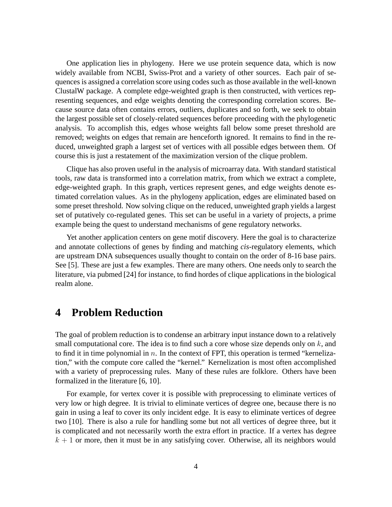One application lies in phylogeny. Here we use protein sequence data, which is now widely available from NCBI, Swiss-Prot and a variety of other sources. Each pair of sequences is assigned a correlation score using codes such as those available in the well-known ClustalW package. A complete edge-weighted graph is then constructed, with vertices representing sequences, and edge weights denoting the corresponding correlation scores. Because source data often contains errors, outliers, duplicates and so forth, we seek to obtain the largest possible set of closely-related sequences before proceeding with the phylogenetic analysis. To accomplish this, edges whose weights fall below some preset threshold are removed; weights on edges that remain are henceforth ignored. It remains to find in the reduced, unweighted graph a largest set of vertices with all possible edges between them. Of course this is just a restatement of the maximization version of the clique problem.

Clique has also proven useful in the analysis of microarray data. With standard statistical tools, raw data is transformed into a correlation matrix, from which we extract a complete, edge-weighted graph. In this graph, vertices represent genes, and edge weights denote estimated correlation values. As in the phylogeny application, edges are eliminated based on some preset threshold. Now solving clique on the reduced, unweighted graph yields a largest set of putatively co-regulated genes. This set can be useful in a variety of projects, a prime example being the quest to understand mechanisms of gene regulatory networks.

Yet another application centers on gene motif discovery. Here the goal is to characterize and annotate collections of genes by finding and matching *cis*-regulatory elements, which are upstream DNA subsequences usually thought to contain on the order of 8-16 base pairs. See [5]. These are just a few examples. There are many others. One needs only to search the literature, via pubmed [24] for instance, to find hordes of clique applications in the biological realm alone.

### **4 Problem Reduction**

The goal of problem reduction is to condense an arbitrary input instance down to a relatively small computational core. The idea is to find such a core whose size depends only on *k*, and to find it in time polynomial in *n*. In the context of FPT, this operation is termed "kernelization," with the compute core called the "kernel." Kernelization is most often accomplished with a variety of preprocessing rules. Many of these rules are folklore. Others have been formalized in the literature [6, 10].

For example, for vertex cover it is possible with preprocessing to eliminate vertices of very low or high degree. It is trivial to eliminate vertices of degree one, because there is no gain in using a leaf to cover its only incident edge. It is easy to eliminate vertices of degree two [10]. There is also a rule for handling some but not all vertices of degree three, but it is complicated and not necessarily worth the extra effort in practice. If a vertex has degree  $k + 1$  or more, then it must be in any satisfying cover. Otherwise, all its neighbors would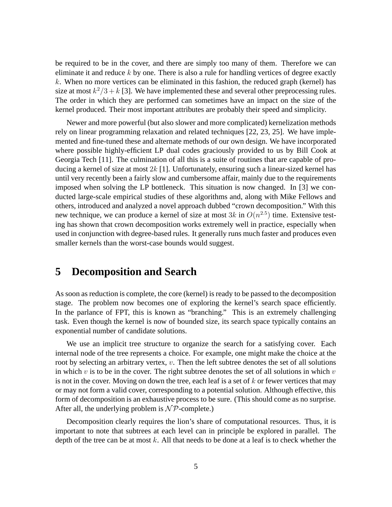be required to be in the cover, and there are simply too many of them. Therefore we can eliminate it and reduce *k* by one. There is also a rule for handling vertices of degree exactly *k*. When no more vertices can be eliminated in this fashion, the reduced graph (kernel) has size at most  $k^2/3 + k$  [3]. We have implemented these and several other preprocessing rules. The order in which they are performed can sometimes have an impact on the size of the kernel produced. Their most important attributes are probably their speed and simplicity.

Newer and more powerful (but also slower and more complicated) kernelization methods rely on linear programming relaxation and related techniques [22, 23, 25]. We have implemented and fine-tuned these and alternate methods of our own design. We have incorporated where possible highly-efficient LP dual codes graciously provided to us by Bill Cook at Georgia Tech [11]. The culmination of all this is a suite of routines that are capable of producing a kernel of size at most 2*<sup>k</sup>* [1]. Unfortunately, ensuring such a linear-sized kernel has until very recently been a fairly slow and cumbersome affair, mainly due to the requirements imposed when solving the LP bottleneck. This situation is now changed. In [3] we conducted large-scale empirical studies of these algorithms and, along with Mike Fellows and others, introduced and analyzed a novel approach dubbed "crown decomposition." With this new technique, we can produce a kernel of size at most <sup>3</sup>*<sup>k</sup>* in *<sup>O</sup>*(*n*<sup>2</sup>*.*<sup>5</sup>) time. Extensive testing has shown that crown decomposition works extremely well in practice, especially when used in conjunction with degree-based rules. It generally runs much faster and produces even smaller kernels than the worst-case bounds would suggest.

### **5 Decomposition and Search**

As soon as reduction is complete, the core (kernel) is ready to be passed to the decomposition stage. The problem now becomes one of exploring the kernel's search space efficiently. In the parlance of FPT, this is known as "branching." This is an extremely challenging task. Even though the kernel is now of bounded size, its search space typically contains an exponential number of candidate solutions.

We use an implicit tree structure to organize the search for a satisfying cover. Each internal node of the tree represents a choice. For example, one might make the choice at the root by selecting an arbitrary vertex, *v*. Then the left subtree denotes the set of all solutions in which  $v$  is to be in the cover. The right subtree denotes the set of all solutions in which  $v$ is not in the cover. Moving on down the tree, each leaf is a set of *k* or fewer vertices that may or may not form a valid cover, corresponding to a potential solution. Although effective, this form of decomposition is an exhaustive process to be sure. (This should come as no surprise. After all, the underlying problem is  $N \mathcal{P}$ -complete.)

Decomposition clearly requires the lion's share of computational resources. Thus, it is important to note that subtrees at each level can in principle be explored in parallel. The depth of the tree can be at most *k*. All that needs to be done at a leaf is to check whether the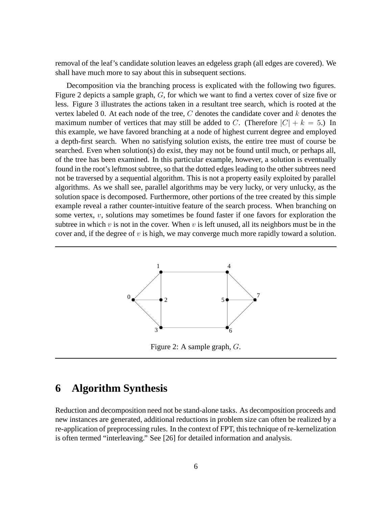removal of the leaf's candidate solution leaves an edgeless graph (all edges are covered). We shall have much more to say about this in subsequent sections.

Decomposition via the branching process is explicated with the following two figures. Figure 2 depicts a sample graph, *G*, for which we want to find a vertex cover of size five or less. Figure 3 illustrates the actions taken in a resultant tree search, which is rooted at the vertex labeled 0. At each node of the tree, *C* denotes the candidate cover and *k* denotes the maximum number of vertices that may still be added to *C*. (Therefore  $|C| + k = 5$ .) In this example, we have favored branching at a node of highest current degree and employed a depth-first search. When no satisfying solution exists, the entire tree must of course be searched. Even when solution(s) do exist, they may not be found until much, or perhaps all, of the tree has been examined. In this particular example, however, a solution is eventually found in the root's leftmost subtree, so that the dotted edges leading to the other subtrees need not be traversed by a sequential algorithm. This is not a property easily exploited by parallel algorithms. As we shall see, parallel algorithms may be very lucky, or very unlucky, as the solution space is decomposed. Furthermore, other portions of the tree created by this simple example reveal a rather counter-intuitive feature of the search process. When branching on some vertex, *v*, solutions may sometimes be found faster if one favors for exploration the subtree in which  $v$  is not in the cover. When  $v$  is left unused, all its neighbors must be in the cover and, if the degree of *v* is high, we may converge much more rapidly toward a solution.



Figure 2: A sample graph, *G*.

## **6 Algorithm Synthesis**

Reduction and decomposition need not be stand-alone tasks. As decomposition proceeds and new instances are generated, additional reductions in problem size can often be realized by a re-application of preprocessing rules. In the context of FPT, this technique of re-kernelization is often termed "interleaving." See [26] for detailed information and analysis.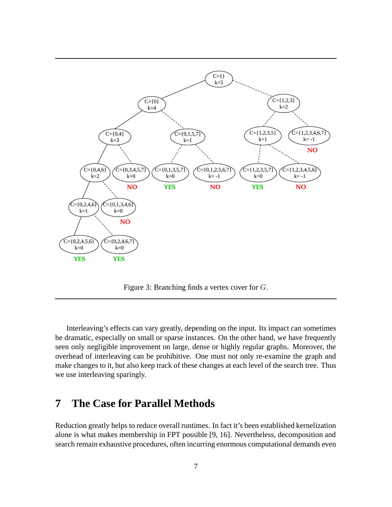

Figure 3: Branching finds a vertex cover for *G*.

Interleaving's effects can vary greatly, depending on the input. Its impact can sometimes be dramatic, especially on small or sparse instances. On the other hand, we have frequently seen only negligible improvement on large, dense or highly regular graphs. Moreover, the overhead of interleaving can be prohibitive. One must not only re-examine the graph and make changes to it, but also keep track of these changes at each level of the search tree. Thus we use interleaving sparingly.

# **7 The Case for Parallel Methods**

Reduction greatly helps to reduce overall runtimes. In fact it's been established kernelization alone is what makes membership in FPT possible [9, 16]. Nevertheless, decomposition and search remain exhaustive procedures, often incurring enormous computational demands even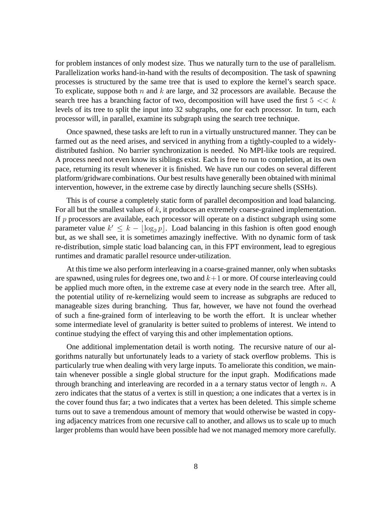for problem instances of only modest size. Thus we naturally turn to the use of parallelism. Parallelization works hand-in-hand with the results of decomposition. The task of spawning processes is structured by the same tree that is used to explore the kernel's search space. To explicate, suppose both *n* and *k* are large, and 32 processors are available. Because the search tree has a branching factor of two, decomposition will have used the first 5 *<< k* levels of its tree to split the input into 32 subgraphs, one for each processor. In turn, each processor will, in parallel, examine its subgraph using the search tree technique.

Once spawned, these tasks are left to run in a virtually unstructured manner. They can be farmed out as the need arises, and serviced in anything from a tightly-coupled to a widelydistributed fashion. No barrier synchronization is needed. No MPI-like tools are required. A process need not even know its siblings exist. Each is free to run to completion, at its own pace, returning its result whenever it is finished. We have run our codes on several different platform/gridware combinations. Our best results have generally been obtained with minimal intervention, however, in the extreme case by directly launching secure shells (SSHs).

This is of course a completely static form of parallel decomposition and load balancing. For all but the smallest values of *k*, it produces an extremely coarse-grained implementation. If *p* processors are available, each processor will operate on a distinct subgraph using some parameter value  $k' \leq k - |\log_2 p|$ . Load balancing in this fashion is often good enough but, as we shall see, it is sometimes amazingly ineffective. With no dynamic form of task re-distribution, simple static load balancing can, in this FPT environment, lead to egregious runtimes and dramatic parallel resource under-utilization.

At this time we also perform interleaving in a coarse-grained manner, only when subtasks are spawned, using rules for degrees one, two and *<sup>k</sup>*+1 or more. Of course interleaving could be applied much more often, in the extreme case at every node in the search tree. After all, the potential utility of re-kernelizing would seem to increase as subgraphs are reduced to manageable sizes during branching. Thus far, however, we have not found the overhead of such a fine-grained form of interleaving to be worth the effort. It is unclear whether some intermediate level of granularity is better suited to problems of interest. We intend to continue studying the effect of varying this and other implementation options.

One additional implementation detail is worth noting. The recursive nature of our algorithms naturally but unfortunately leads to a variety of stack overflow problems. This is particularly true when dealing with very large inputs. To ameliorate this condition, we maintain whenever possible a single global structure for the input graph. Modifications made through branching and interleaving are recorded in a a ternary status vector of length *n*. A zero indicates that the status of a vertex is still in question; a one indicates that a vertex is in the cover found thus far; a two indicates that a vertex has been deleted. This simple scheme turns out to save a tremendous amount of memory that would otherwise be wasted in copying adjacency matrices from one recursive call to another, and allows us to scale up to much larger problems than would have been possible had we not managed memory more carefully.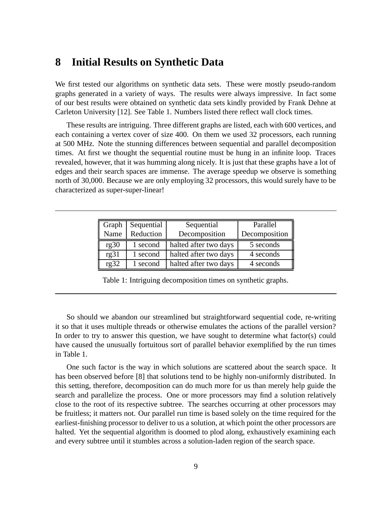#### **8 Initial Results on Synthetic Data**

We first tested our algorithms on synthetic data sets. These were mostly pseudo-random graphs generated in a variety of ways. The results were always impressive. In fact some of our best results were obtained on synthetic data sets kindly provided by Frank Dehne at Carleton University [12]. See Table 1. Numbers listed there reflect wall clock times.

These results are intriguing. Three different graphs are listed, each with 600 vertices, and each containing a vertex cover of size 400. On them we used 32 processors, each running at 500 MHz. Note the stunning differences between sequential and parallel decomposition times. At first we thought the sequential routine must be hung in an infinite loop. Traces revealed, however, that it was humming along nicely. It is just that these graphs have a lot of edges and their search spaces are immense. The average speedup we observe is something north of 30,000. Because we are only employing 32 processors, this would surely have to be characterized as super-super-linear!

| Graph | Sequential | Sequential            | Parallel      |
|-------|------------|-----------------------|---------------|
| Name  | Reduction  | Decomposition         | Decomposition |
| rg30  | 1 second   | halted after two days | 5 seconds     |
| rg31  | 1 second   | halted after two days | 4 seconds     |
| rg32  | 1 second   | halted after two days | 4 seconds     |

Table 1: Intriguing decomposition times on synthetic graphs.

So should we abandon our streamlined but straightforward sequential code, re-writing it so that it uses multiple threads or otherwise emulates the actions of the parallel version? In order to try to answer this question, we have sought to determine what factor(s) could have caused the unusually fortuitous sort of parallel behavior exemplified by the run times in Table 1.

One such factor is the way in which solutions are scattered about the search space. It has been observed before [8] that solutions tend to be highly non-uniformly distributed. In this setting, therefore, decomposition can do much more for us than merely help guide the search and parallelize the process. One or more processors may find a solution relatively close to the root of its respective subtree. The searches occurring at other processors may be fruitless; it matters not. Our parallel run time is based solely on the time required for the earliest-finishing processor to deliver to us a solution, at which point the other processors are halted. Yet the sequential algorithm is doomed to plod along, exhaustively examining each and every subtree until it stumbles across a solution-laden region of the search space.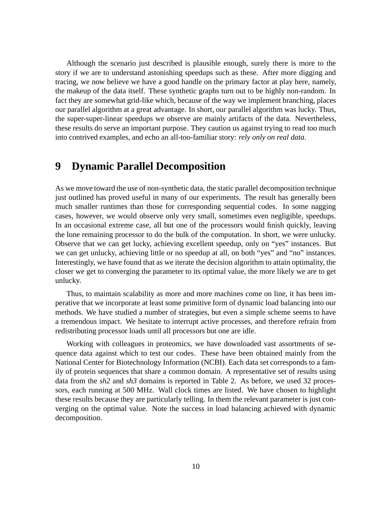Although the scenario just described is plausible enough, surely there is more to the story if we are to understand astonishing speedups such as these. After more digging and tracing, we now believe we have a good handle on the primary factor at play here, namely, the makeup of the data itself. These synthetic graphs turn out to be highly non-random. In fact they are somewhat grid-like which, because of the way we implement branching, places our parallel algorithm at a great advantage. In short, our parallel algorithm was lucky. Thus, the super-super-linear speedups we observe are mainly artifacts of the data. Nevertheless, these results do serve an important purpose. They caution us against trying to read too much into contrived examples, and echo an all-too-familiar story: *rely only on real data*.

# **9 Dynamic Parallel Decomposition**

As we move toward the use of non-synthetic data, the static parallel decomposition technique just outlined has proved useful in many of our experiments. The result has generally been much smaller runtimes than those for corresponding sequential codes. In some nagging cases, however, we would observe only very small, sometimes even negligible, speedups. In an occasional extreme case, all but one of the processors would finish quickly, leaving the lone remaining processor to do the bulk of the computation. In short, we were unlucky. Observe that we can get lucky, achieving excellent speedup, only on "yes" instances. But we can get unlucky, achieving little or no speedup at all, on both "yes" and "no" instances. Interestingly, we have found that as we iterate the decision algorithm to attain optimality, the closer we get to converging the parameter to its optimal value, the more likely we are to get unlucky.

Thus, to maintain scalability as more and more machines come on line, it has been imperative that we incorporate at least some primitive form of dynamic load balancing into our methods. We have studied a number of strategies, but even a simple scheme seems to have a tremendous impact. We hesitate to interrupt active processes, and therefore refrain from redistributing processor loads until all processors but one are idle.

Working with colleagues in proteomics, we have downloaded vast assortments of sequence data against which to test our codes. These have been obtained mainly from the National Center for Biotechnology Information (NCBI). Each data set corresponds to a family of protein sequences that share a common domain. A representative set of results using data from the *sh2* and *sh3* domains is reported in Table 2. As before, we used 32 processors, each running at 500 MHz. Wall clock times are listed. We have chosen to highlight these results because they are particularly telling. In them the relevant parameter is just converging on the optimal value. Note the success in load balancing achieved with dynamic decomposition.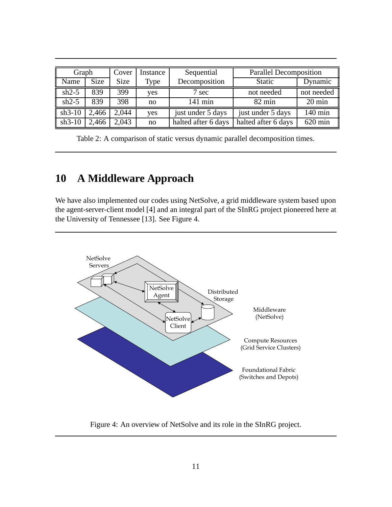| Graph    |             | Cover       | Instance    | Sequential          | <b>Parallel Decomposition</b> |                  |
|----------|-------------|-------------|-------------|---------------------|-------------------------------|------------------|
| Name     | <b>Size</b> | <b>Size</b> | <b>Type</b> | Decomposition       | Static                        | Dynamic          |
| $sh2-5$  | 839         | 399         | yes         | 7 sec               | not needed                    | not needed       |
| $sh2-5$  | 839         | 398         | no          | $141 \text{ min}$   | $82 \text{ min}$              | $20 \text{ min}$ |
| $sh3-10$ | 2,466       | 2,044       | yes         | just under 5 days   | just under 5 days             | 140 min          |
| $sh3-10$ | 2,466       | 2,043       | no          | halted after 6 days | halted after 6 days           | $620$ min        |

Table 2: A comparison of static versus dynamic parallel decomposition times.

# **10 A Middleware Approach**

We have also implemented our codes using NetSolve, a grid middleware system based upon the agent-server-client model [4] and an integral part of the SInRG project pioneered here at the University of Tennessee [13]. See Figure 4.



Figure 4: An overview of NetSolve and its role in the SInRG project.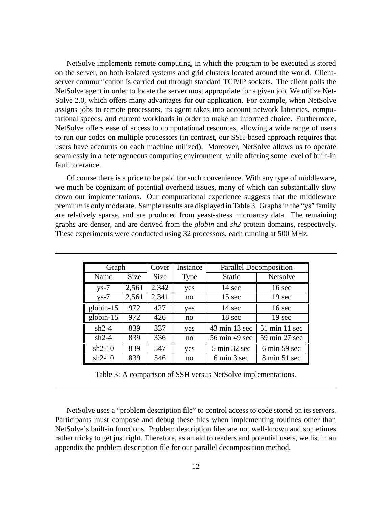NetSolve implements remote computing, in which the program to be executed is stored on the server, on both isolated systems and grid clusters located around the world. Clientserver communication is carried out through standard TCP/IP sockets. The client polls the NetSolve agent in order to locate the server most appropriate for a given job. We utilize Net-Solve 2.0, which offers many advantages for our application. For example, when NetSolve assigns jobs to remote processors, its agent takes into account network latencies, computational speeds, and current workloads in order to make an informed choice. Furthermore, NetSolve offers ease of access to computational resources, allowing a wide range of users to run our codes on multiple processors (in contrast, our SSH-based approach requires that users have accounts on each machine utilized). Moreover, NetSolve allows us to operate seamlessly in a heterogeneous computing environment, while offering some level of built-in fault tolerance.

Of course there is a price to be paid for such convenience. With any type of middleware, we much be cognizant of potential overhead issues, many of which can substantially slow down our implementations. Our computational experience suggests that the middleware premium is only moderate. Sample results are displayed in Table 3. Graphs in the "ys" family are relatively sparse, and are produced from yeast-stress microarray data. The remaining graphs are denser, and are derived from the *globin* and *sh2* protein domains, respectively. These experiments were conducted using 32 processors, each running at 500 MHz.

| Graph       |                   | Cover       | Instance    | <b>Parallel Decomposition</b> |                            |  |
|-------------|-------------------|-------------|-------------|-------------------------------|----------------------------|--|
| Name        | $\overline{Size}$ | <b>Size</b> | <b>Type</b> | <b>Static</b>                 | Netsolve                   |  |
| $ys-7$      | 2,561             | 2,342       | yes         | 14 sec                        | $16 \text{ sec}$           |  |
| $ys-7$      | 2,561             | 2,341       | no          | $15 \text{ sec}$              | 19 sec                     |  |
| $globin-15$ | 972               | 427         | yes         | 14 sec                        | $16 \text{ sec}$           |  |
| $globin-15$ | 972               | 426         | no          | 18 sec                        | 19 sec                     |  |
| $sh2-4$     | 839               | 337         | yes         | 43 min 13 sec                 | $\overline{51}$ min 11 sec |  |
| $sh2-4$     | 839               | 336         | no          | 56 min 49 sec                 | 59 min 27 sec              |  |
| $sh2-10$    | 839               | 547         | yes         | 5 min 32 sec                  | 6 min 59 sec               |  |
| $sh2-10$    | 839               | 546         | no          | 6 min 3 sec                   | 8 min 51 sec               |  |

Table 3: A comparison of SSH versus NetSolve implementations.

NetSolve uses a "problem description file" to control access to code stored on its servers. Participants must compose and debug these files when implementing routines other than NetSolve's built-in functions. Problem description files are not well-known and sometimes rather tricky to get just right. Therefore, as an aid to readers and potential users, we list in an appendix the problem description file for our parallel decomposition method.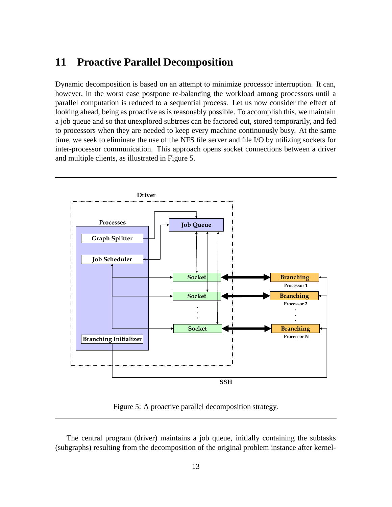# **11 Proactive Parallel Decomposition**

Dynamic decomposition is based on an attempt to minimize processor interruption. It can, however, in the worst case postpone re-balancing the workload among processors until a parallel computation is reduced to a sequential process. Let us now consider the effect of looking ahead, being as proactive as is reasonably possible. To accomplish this, we maintain a job queue and so that unexplored subtrees can be factored out, stored temporarily, and fed to processors when they are needed to keep every machine continuously busy. At the same time, we seek to eliminate the use of the NFS file server and file I/O by utilizing sockets for inter-processor communication. This approach opens socket connections between a driver and multiple clients, as illustrated in Figure 5.



Figure 5: A proactive parallel decomposition strategy.

The central program (driver) maintains a job queue, initially containing the subtasks (subgraphs) resulting from the decomposition of the original problem instance after kernel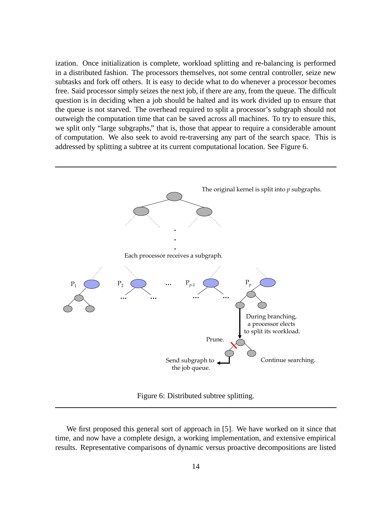ization. Once initialization is complete, workload splitting and re-balancing is performed in a distributed fashion. The processors themselves, not some central controller, seize new subtasks and fork off others. It is easy to decide what to do whenever a processor becomes free. Said processor simply seizes the next job, if there are any, from the queue. The difficult question is in deciding when a job should be halted and its work divided up to ensure that the queue is not starved. The overhead required to split a processor's subgraph should not outweigh the computation time that can be saved across all machines. To try to ensure this, we split only "large subgraphs," that is, those that appear to require a considerable amount of computation. We also seek to avoid re-traversing any part of the search space. This is addressed by splitting a subtree at its current computational location. See Figure 6.



Figure 6: Distributed subtree splitting.

We first proposed this general sort of approach in [5]. We have worked on it since that time, and now have a complete design, a working implementation, and extensive empirical results. Representative comparisons of dynamic versus proactive decompositions are listed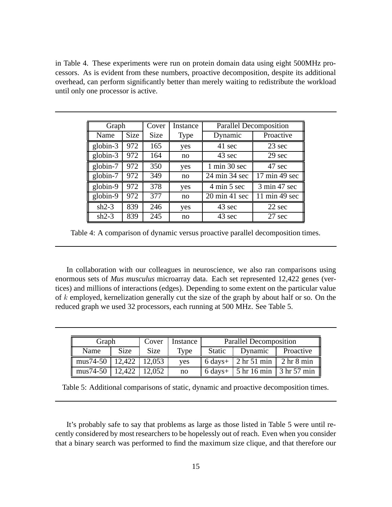in Table 4. These experiments were run on protein domain data using eight 500MHz processors. As is evident from these numbers, proactive decomposition, despite its additional overhead, can perform significantly better than merely waiting to redistribute the workload until only one processor is active.

| Graph                |                   | Cover       | Instance    | <b>Parallel Decomposition</b>   |                           |
|----------------------|-------------------|-------------|-------------|---------------------------------|---------------------------|
| Name                 | $\overline{Size}$ | <b>Size</b> | <b>Type</b> | Dynamic                         | Proactive                 |
| globin-3             | 972               | 165         | yes         | 41 sec                          | 23 sec                    |
| $globin-3$           | 972               | 164         | no          | 43 sec                          | 29 sec                    |
| globin-7             | 972               | 350         | yes         | $1 \text{ min } 30 \text{ sec}$ | 47 sec                    |
| globin-7             | 972               | 349         | no          | 24 min 34 sec                   | 17 min 49 sec             |
| $\sqrt{\frac{1}{2}}$ | 972               | 378         | yes         | 4 min 5 sec                     | $\overline{3}$ min 47 sec |
| globin-9             | 972               | 377         | no          | 20 min 41 sec                   | 11 min 49 sec             |
| $sh2-3$              | 839               | 246         | yes         | 43 sec                          | 22 sec                    |
| $sh2-3$              | 839               | 245         | no          | 43 sec                          | $27$ sec                  |

Table 4: A comparison of dynamic versus proactive parallel decomposition times.

In collaboration with our colleagues in neuroscience, we also ran comparisons using enormous sets of *Mus musculus* microarray data. Each set represented 12,422 genes (vertices) and millions of interactions (edges). Depending to some extent on the particular value of *k* employed, kernelization generally cut the size of the graph by about half or so. On the reduced graph we used 32 processors, each running at 500 MHz. See Table 5.

| Graph                      |             | Cover | Instance | <b>Parallel Decomposition</b> |         |                                                          |
|----------------------------|-------------|-------|----------|-------------------------------|---------|----------------------------------------------------------|
| Name                       | <b>Size</b> | Size  | Type     | Static                        | Dynamic | Proactive                                                |
| mus74-50   12,422   12,053 |             |       | ves      |                               |         | 6 days + $\vert$ 2 hr 51 min $\vert$ 2 hr 8 min $\vert$  |
| mus74-50   12,422   12,052 |             |       | no       |                               |         | 6 days + $\vert$ 5 hr 16 min $\vert$ 3 hr 57 min $\vert$ |

Table 5: Additional comparisons of static, dynamic and proactive decomposition times.

It's probably safe to say that problems as large as those listed in Table 5 were until recently considered by most researchers to be hopelessly out of reach. Even when you consider that a binary search was performed to find the maximum size clique, and that therefore our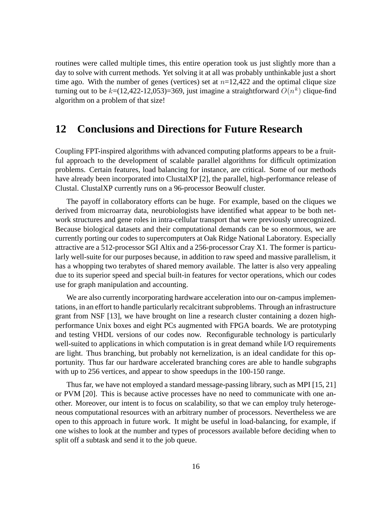routines were called multiple times, this entire operation took us just slightly more than a day to solve with current methods. Yet solving it at all was probably unthinkable just a short time ago. With the number of genes (vertices) set at  $n=12,422$  and the optimal clique size turning out to be  $k=(12,422-12,053)=369$ , just imagine a straightforward  $O(n^k)$  clique-find algorithm on a problem of that size!

#### **12 Conclusions and Directions for Future Research**

Coupling FPT-inspired algorithms with advanced computing platforms appears to be a fruitful approach to the development of scalable parallel algorithms for difficult optimization problems. Certain features, load balancing for instance, are critical. Some of our methods have already been incorporated into ClustalXP [2], the parallel, high-performance release of Clustal. ClustalXP currently runs on a 96-processor Beowulf cluster.

The payoff in collaboratory efforts can be huge. For example, based on the cliques we derived from microarray data, neurobiologists have identified what appear to be both network structures and gene roles in intra-cellular transport that were previously unrecognized. Because biological datasets and their computational demands can be so enormous, we are currently porting our codes to supercomputers at Oak Ridge National Laboratory. Especially attractive are a 512-processor SGI Altix and a 256-processor Cray X1. The former is particularly well-suite for our purposes because, in addition to raw speed and massive parallelism, it has a whopping two terabytes of shared memory available. The latter is also very appealing due to its superior speed and special built-in features for vector operations, which our codes use for graph manipulation and accounting.

We are also currently incorporating hardware acceleration into our on-campus implementations, in an effort to handle particularly recalcitrant subproblems. Through an infrastructure grant from NSF [13], we have brought on line a research cluster containing a dozen highperformance Unix boxes and eight PCs augmented with FPGA boards. We are prototyping and testing VHDL versions of our codes now. Reconfigurable technology is particularly well-suited to applications in which computation is in great demand while I/O requirements are light. Thus branching, but probably not kernelization, is an ideal candidate for this opportunity. Thus far our hardware accelerated branching cores are able to handle subgraphs with up to 256 vertices, and appear to show speedups in the 100-150 range.

Thus far, we have not employed a standard message-passing library, such as MPI [15, 21] or PVM [20]. This is because active processes have no need to communicate with one another. Moreover, our intent is to focus on scalability, so that we can employ truly heterogeneous computational resources with an arbitrary number of processors. Nevertheless we are open to this approach in future work. It might be useful in load-balancing, for example, if one wishes to look at the number and types of processors available before deciding when to split off a subtask and send it to the job queue.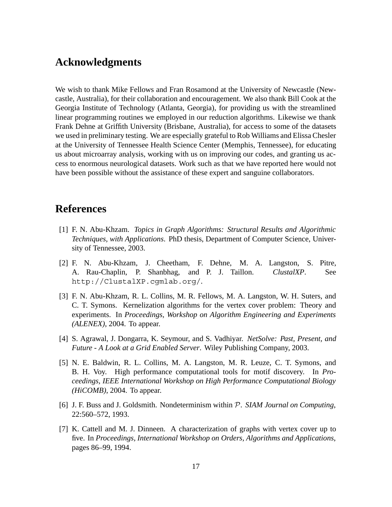#### **Acknowledgments**

We wish to thank Mike Fellows and Fran Rosamond at the University of Newcastle (Newcastle, Australia), for their collaboration and encouragement. We also thank Bill Cook at the Georgia Institute of Technology (Atlanta, Georgia), for providing us with the streamlined linear programming routines we employed in our reduction algorithms. Likewise we thank Frank Dehne at Griffith University (Brisbane, Australia), for access to some of the datasets we used in preliminary testing. We are especially grateful to Rob Williams and Elissa Chesler at the University of Tennessee Health Science Center (Memphis, Tennessee), for educating us about microarray analysis, working with us on improving our codes, and granting us access to enormous neurological datasets. Work such as that we have reported here would not have been possible without the assistance of these expert and sanguine collaborators.

# **References**

- [1] F. N. Abu-Khzam. *Topics in Graph Algorithms: Structural Results and Algorithmic Techniques, with Applications*. PhD thesis, Department of Computer Science, University of Tennessee, 2003.
- [2] F. N. Abu-Khzam, J. Cheetham, F. Dehne, M. A. Langston, S. Pitre, A. Rau-Chaplin, P. Shanbhag, and P. J. Taillon. *ClustalXP*. See http://ClustalXP.cgmlab.org/.
- [3] F. N. Abu-Khzam, R. L. Collins, M. R. Fellows, M. A. Langston, W. H. Suters, and C. T. Symons. Kernelization algorithms for the vertex cover problem: Theory and experiments. In *Proceedings, Workshop on Algorithm Engineering and Experiments (ALENEX)*, 2004. To appear.
- [4] S. Agrawal, J. Dongarra, K. Seymour, and S. Vadhiyar. *NetSolve: Past, Present, and Future - A Look at a Grid Enabled Server*. Wiley Publishing Company, 2003.
- [5] N. E. Baldwin, R. L. Collins, M. A. Langston, M. R. Leuze, C. T. Symons, and B. H. Voy. High performance computational tools for motif discovery. In *Proceedings, IEEE International Workshop on High Performance Computational Biology (HiCOMB)*, 2004. To appear.
- [6] J. F. Buss and J. Goldsmith. Nondeterminism within P. *SIAM Journal on Computing*, 22:560–572, 1993.
- [7] K. Cattell and M. J. Dinneen. A characterization of graphs with vertex cover up to five. In *Proceedings, International Workshop on Orders, Algorithms and Applications*, pages 86–99, 1994.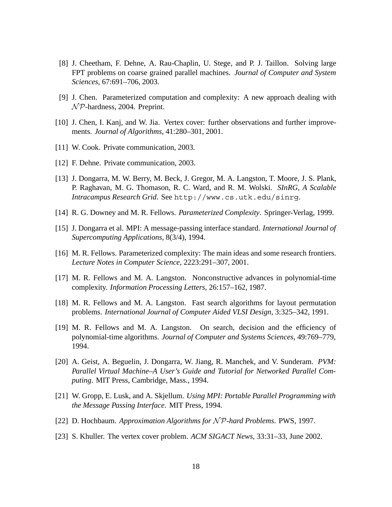- [8] J. Cheetham, F. Dehne, A. Rau-Chaplin, U. Stege, and P. J. Taillon. Solving large FPT problems on coarse grained parallel machines. *Journal of Computer and System Sciences*, 67:691–706, 2003.
- [9] J. Chen. Parameterized computation and complexity: A new approach dealing with  $\mathcal N\mathcal P$ -hardness, 2004. Preprint.
- [10] J. Chen, I. Kanj, and W. Jia. Vertex cover: further observations and further improvements. *Journal of Algorithms*, 41:280–301, 2001.
- [11] W. Cook. Private communication, 2003.
- [12] F. Dehne. Private communication, 2003.
- [13] J. Dongarra, M. W. Berry, M. Beck, J. Gregor, M. A. Langston, T. Moore, J. S. Plank, P. Raghavan, M. G. Thomason, R. C. Ward, and R. M. Wolski. *SInRG, A Scalable Intracampus Research Grid*. See http://www.cs.utk.edu/sinrg.
- [14] R. G. Downey and M. R. Fellows. *Parameterized Complexity*. Springer-Verlag, 1999.
- [15] J. Dongarra et al. MPI: A message-passing interface standard. *International Journal of Supercomputing Applications*, 8(3/4), 1994.
- [16] M. R. Fellows. Parameterized complexity: The main ideas and some research frontiers. *Lecture Notes in Computer Science*, 2223:291–307, 2001.
- [17] M. R. Fellows and M. A. Langston. Nonconstructive advances in polynomial-time complexity. *Information Processing Letters*, 26:157–162, 1987.
- [18] M. R. Fellows and M. A. Langston. Fast search algorithms for layout permutation problems. *International Journal of Computer Aided VLSI Design*, 3:325–342, 1991.
- [19] M. R. Fellows and M. A. Langston. On search, decision and the efficiency of polynomial-time algorithms. *Journal of Computer and Systems Sciences*, 49:769–779, 1994.
- [20] A. Geist, A. Beguelin, J. Dongarra, W. Jiang, R. Manchek, and V. Sunderam. *PVM: Parallel Virtual Machine–A User's Guide and Tutorial for Networked Parallel Computing*. MIT Press, Cambridge, Mass., 1994.
- [21] W. Gropp, E. Lusk, and A. Skjellum. *Using MPI: Portable Parallel Programming with the Message Passing Interface*. MIT Press, 1994.
- [22] D. Hochbaum. *Approximation Algorithms for* N P*-hard Problems*. PWS, 1997.
- [23] S. Khuller. The vertex cover problem. *ACM SIGACT News*, 33:31–33, June 2002.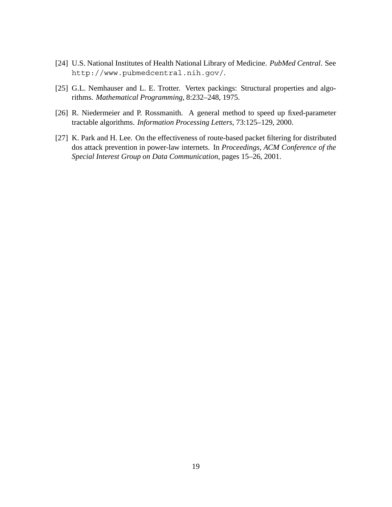- [24] U.S. National Institutes of Health National Library of Medicine. *PubMed Central*. See http://www.pubmedcentral.nih.gov/.
- [25] G.L. Nemhauser and L. E. Trotter. Vertex packings: Structural properties and algorithms. *Mathematical Programming*, 8:232–248, 1975.
- [26] R. Niedermeier and P. Rossmanith. A general method to speed up fixed-parameter tractable algorithms. *Information Processing Letters*, 73:125–129, 2000.
- [27] K. Park and H. Lee. On the effectiveness of route-based packet filtering for distributed dos attack prevention in power-law internets. In *Proceedings, ACM Conference of the Special Interest Group on Data Communication*, pages 15–26, 2001.